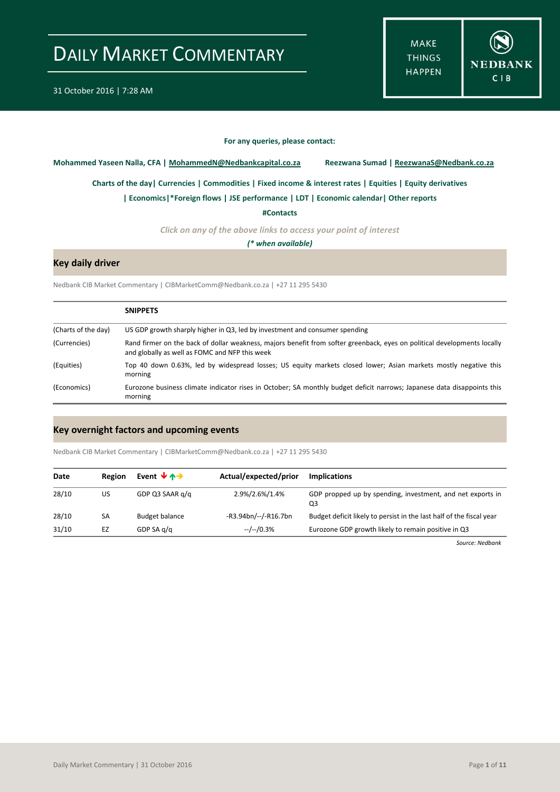**MAKE THINGS HAPPEN** 



#### **For any queries, please contact:**

<span id="page-0-0"></span>**Mohammed Yaseen Nalla, CFA | MohammedN@Nedbankcapital.co.za Reezwana Sumad | ReezwanaS@Nedbank.co.za**

**[Charts of the day|](#page-1-0) [Currencies](#page-2-0) [| Commodities](#page-3-0) | [Fixed income & interest rates](#page-4-0) [| Equities](#page-5-0) | Equity derivatives**

**[| Economics|](#page-6-0)\*Foreign flows | [JSE performance](#page-7-0) [| LDT](#page-8-0) [| Economic calendar|](#page-8-1) Other reports** 

**[#Contacts](#page-9-0)**

*Click on any of the above links to access your point of interest*

*(\* when available)*

#### **Key daily driver**

Nedbank CIB Market Commentary | CIBMarketComm@Nedbank.co.za | +27 11 295 5430

|                     | <b>SNIPPETS</b>                                                                                                                                                            |
|---------------------|----------------------------------------------------------------------------------------------------------------------------------------------------------------------------|
| (Charts of the day) | US GDP growth sharply higher in Q3, led by investment and consumer spending                                                                                                |
| (Currencies)        | Rand firmer on the back of dollar weakness, majors benefit from softer greenback, eyes on political developments locally<br>and globally as well as FOMC and NFP this week |
| (Equities)          | Top 40 down 0.63%, led by widespread losses; US equity markets closed lower; Asian markets mostly negative this<br>morning                                                 |
| (Economics)         | Eurozone business climate indicator rises in October; SA monthly budget deficit narrows; Japanese data disappoints this<br>morning                                         |

#### **Key overnight factors and upcoming events**

Nedbank CIB Market Commentary | CIBMarketComm@Nedbank.co.za | +27 11 295 5430

| Date  | Region | Event $\forall$ $\land \rightarrow$ | Actual/expected/prior | <b>Implications</b>                                                  |
|-------|--------|-------------------------------------|-----------------------|----------------------------------------------------------------------|
| 28/10 | US     | GDP Q3 SAAR q/q                     | 2.9%/2.6%/1.4%        | GDP propped up by spending, investment, and net exports in<br>Q3     |
| 28/10 | SA     | <b>Budget balance</b>               | -R3.94bn/--/-R16.7bn  | Budget deficit likely to persist in the last half of the fiscal year |
| 31/10 | EZ     | GDP SA $q/q$                        | --/--/0.3%            | Eurozone GDP growth likely to remain positive in Q3                  |

*Source: Nedbank*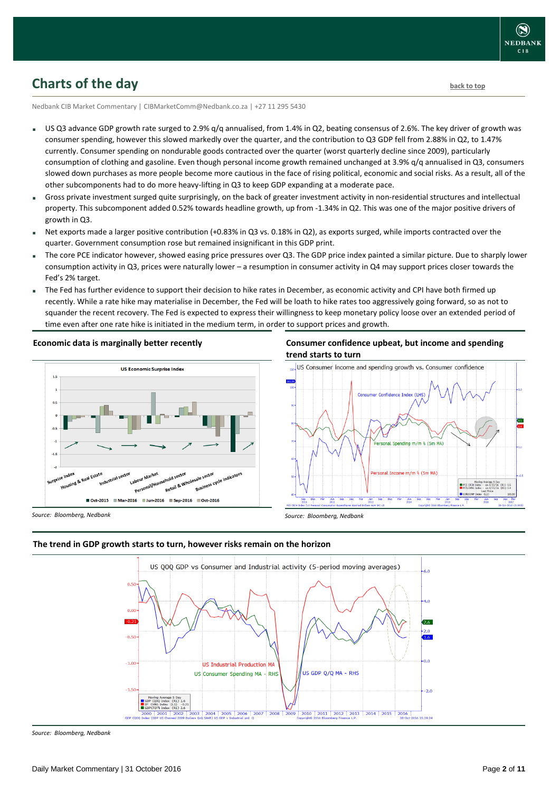### <span id="page-1-0"></span>**Charts of the day** [back to top](#page-0-0) **back to top**

Nedbank CIB Market Commentary | CIBMarketComm@Nedbank.co.za | +27 11 295 5430

- US Q3 advance GDP growth rate surged to 2.9% q/q annualised, from 1.4% in Q2, beating consensus of 2.6%. The key driver of growth was consumer spending, however this slowed markedly over the quarter, and the contribution to Q3 GDP fell from 2.88% in Q2, to 1.47% currently. Consumer spending on nondurable goods contracted over the quarter (worst quarterly decline since 2009), particularly consumption of clothing and gasoline. Even though personal income growth remained unchanged at 3.9% q/q annualised in Q3, consumers slowed down purchases as more people become more cautious in the face of rising political, economic and social risks. As a result, all of the other subcomponents had to do more heavy-lifting in Q3 to keep GDP expanding at a moderate pace.
- Gross private investment surged quite surprisingly, on the back of greater investment activity in non-residential structures and intellectual property. This subcomponent added 0.52% towards headline growth, up from -1.34% in Q2. This was one of the major positive drivers of growth in Q3.
- Net exports made a larger positive contribution (+0.83% in Q3 vs. 0.18% in Q2), as exports surged, while imports contracted over the quarter. Government consumption rose but remained insignificant in this GDP print.
- The core PCE indicator however, showed easing price pressures over Q3. The GDP price index painted a similar picture. Due to sharply lower consumption activity in Q3, prices were naturally lower – a resumption in consumer activity in Q4 may support prices closer towards the Fed's 2% target.
- The Fed has further evidence to support their decision to hike rates in December, as economic activity and CPI have both firmed up recently. While a rate hike may materialise in December, the Fed will be loath to hike rates too aggressively going forward, so as not to squander the recent recovery. The Fed is expected to express their willingness to keep monetary policy loose over an extended period of time even after one rate hike is initiated in the medium term, in order to support prices and growth.

#### **Economic data is marginally better recently**



#### **Consumer confidence upbeat, but income and spending trend starts to turn**



*Source: Bloomberg, Nedbank*





*Source: Bloomberg, Nedbank*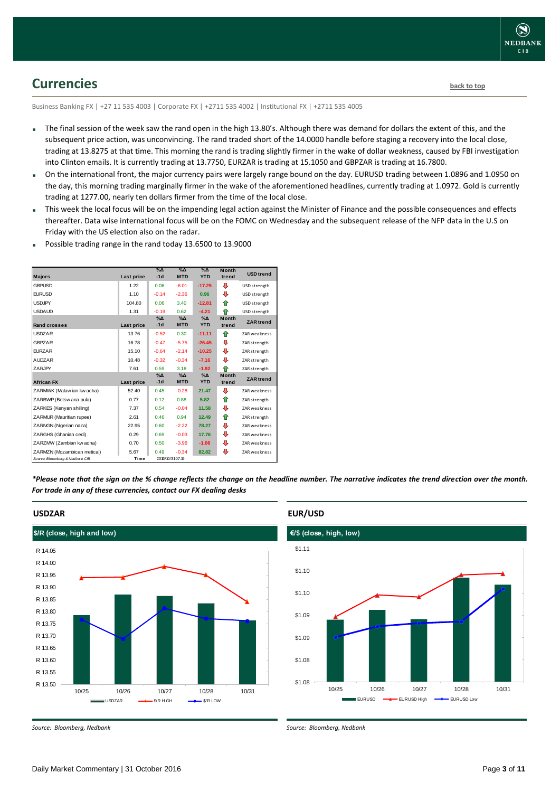### <span id="page-2-0"></span>**Currencies [back to top](#page-0-0)**

Business Banking FX | +27 11 535 4003 | Corporate FX | +2711 535 4002 | Institutional FX | +2711 535 4005

- The final session of the week saw the rand open in the high 13.80's. Although there was demand for dollars the extent of this, and the subsequent price action, was unconvincing. The rand traded short of the 14.0000 handle before staging a recovery into the local close, trading at 13.8275 at that time. This morning the rand is trading slightly firmer in the wake of dollar weakness, caused by FBI investigation into Clinton emails. It is currently trading at 13.7750, EURZAR is trading at 15.1050 and GBPZAR is trading at 16.7800.
- On the international front, the major currency pairs were largely range bound on the day. EURUSD trading between 1.0896 and 1.0950 on the day, this morning trading marginally firmer in the wake of the aforementioned headlines, currently trading at 1.0972. Gold is currently trading at 1277.00, nearly ten dollars firmer from the time of the local close.
- This week the local focus will be on the impending legal action against the Minister of Finance and the possible consequences and effects thereafter. Data wise international focus will be on the FOMC on Wednesday and the subsequent release of the NFP data in the U.S on Friday with the US election also on the radar.
- Possible trading range in the rand today 13.6500 to 13.9000

| <b>Majors</b>                   | <b>Last price</b> | $\sqrt{2}$<br>$-1d$ | $\sqrt{\Delta}$<br><b>MTD</b> | $\sqrt{\Delta}$<br><b>YTD</b> | <b>Month</b><br>trend | <b>USD</b> trend    |
|---------------------------------|-------------------|---------------------|-------------------------------|-------------------------------|-----------------------|---------------------|
| <b>GBPUSD</b>                   | 1.22              | 0.06                | $-6.01$                       | $-17.25$                      | ⊕                     | USD strength        |
| <b>EURUSD</b>                   | 1.10              | $-0.14$             | $-2.36$                       | 0.96                          | ⊕                     | USD strength        |
| <b>USDJPY</b>                   | 104.80            | 0.06                | 3.40                          | $-12.81$                      | ♠                     | USD strength        |
| <b>USDAUD</b>                   | 1.31              | $-0.19$             | 0.62                          | $-4.21$                       | ♠                     | USD strength        |
| <b>Rand crosses</b>             | Last price        | $% \Delta$<br>$-1d$ | $\%$ $\Delta$<br><b>MTD</b>   | $\%$ $\Delta$<br><b>YTD</b>   | <b>Month</b><br>trend | <b>ZAR</b> trend    |
| <b>USDZAR</b>                   | 13.76             | $-0.52$             | 0.30                          | $-11.11$                      | ⇑                     | <b>ZAR weakness</b> |
| <b>GBPZAR</b>                   | 16.78             | $-0.47$             | $-5.75$                       | $-26.45$                      | ⊕                     | ZAR strength        |
| <b>EURZAR</b>                   | 15.10             | $-0.64$             | $-2.14$                       | $-10.25$                      | ⊕                     | ZAR strength        |
| <b>AUDZAR</b>                   | 10.48             | $-0.32$             | $-0.34$                       | $-7.16$                       | ⊕                     | ZAR strength        |
| ZARJPY                          | 7.61              | 0.59                | 3.18                          | $-1.92$                       | ♠                     | ZAR strength        |
| <b>African FX</b>               | Last price        | $% \Delta$<br>$-1d$ | $\%$ $\Delta$<br><b>MTD</b>   | $\%$ $\Delta$<br><b>YTD</b>   | <b>Month</b><br>trend | <b>ZAR</b> trend    |
| ZARMWK (Malaw ian kw acha)      | 52.40             | 0.45                | $-0.28$                       | 21.47                         | ⊕                     | <b>ZAR</b> weakness |
| ZARBWP (Botsw ana pula)         | 0.77              | 0.12                | 0.88                          | 5.82                          | ⇮                     | ZAR strength        |
| ZARKES (Kenyan shilling)        | 7.37              | 0.54                | $-0.04$                       | 11.58                         | ⊕                     | <b>ZAR</b> weakness |
| ZARMUR (Mauritian rupee)        | 2.61              | 0.46                | 0.94                          | 12.49                         | ⇑                     | ZAR strength        |
| ZARNGN (Nigerian naira)         | 22.95             | 0.60                | $-2.22$                       | 78.27                         | ⊕                     | ZAR weakness        |
| ZARGHS (Ghanian cedi)           | 0.29              | 0.69                | $-0.03$                       | 17.76                         | ⊕                     | ZAR weakness        |
| ZARZMW (Zambian kw acha)        | 0.70              | 0.50                | $-3.96$                       | $-1.06$                       | ⊕                     | ZAR weakness        |
| ZARMZN (Mozambican metical)     | 5.67              | 0.49                | $-0.34$                       | 82.82                         | ⊕                     | <b>ZAR</b> weakness |
| Source: Bloomberg & Nedbank CIB | Time              |                     | 2016/10/3107:19               |                               |                       |                     |

*\*Please note that the sign on the % change reflects the change on the headline number. The narrative indicates the trend direction over the month. For trade in any of these currencies, contact our FX dealing desks*



#### **EUR/USD**



*Source: Bloomberg, Nedbank*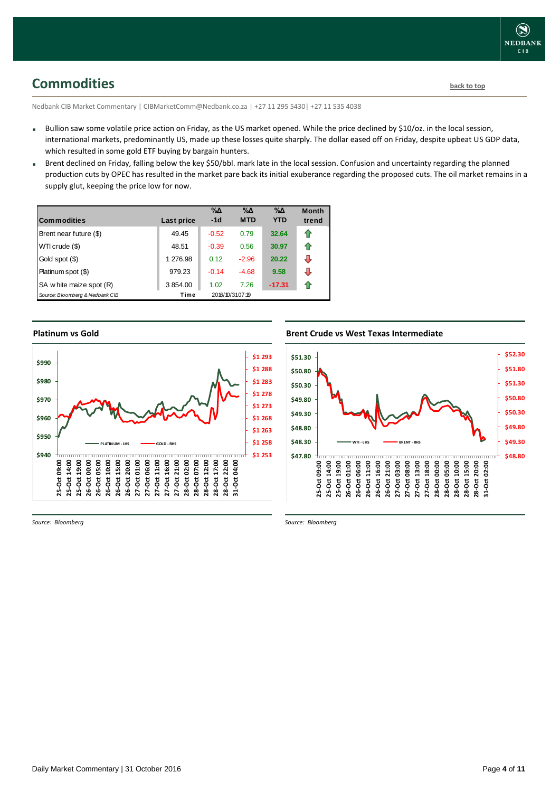# <span id="page-3-0"></span>**Commodities [back to top](#page-0-0)**

Nedbank CIB Market Commentary | CIBMarketComm@Nedbank.co.za | +27 11 295 5430| +27 11 535 4038

- Bullion saw some volatile price action on Friday, as the US market opened. While the price declined by \$10/oz. in the local session, international markets, predominantly US, made up these losses quite sharply. The dollar eased off on Friday, despite upbeat US GDP data, which resulted in some gold ETF buying by bargain hunters.
- Brent declined on Friday, falling below the key \$50/bbl. mark late in the local session. Confusion and uncertainty regarding the planned production cuts by OPEC has resulted in the market pare back its initial exuberance regarding the proposed cuts. The oil market remains in a supply glut, keeping the price low for now.

| <b>Commodities</b>              | Last price | $\% \Delta$<br>$-1d$ | $\% \Delta$<br><b>MTD</b> | $\% \Delta$<br><b>YTD</b> | <b>Month</b><br>trend |
|---------------------------------|------------|----------------------|---------------------------|---------------------------|-----------------------|
| Brent near future (\$)          | 49.45      | $-0.52$              | 0.79                      | 32.64                     | 11                    |
| WTI crude (\$)                  | 48.51      | $-0.39$              | 0.56                      | 30.97                     | ⇑                     |
| Gold spot (\$)                  | 1 276.98   | 0.12                 | $-2.96$                   | 20.22                     | ⊕                     |
| Platinum spot (\$)              | 979.23     | $-0.14$              | $-4.68$                   | 9.58                      | ⊕                     |
| SA w hite maize spot (R)        | 3 854.00   | 1.02                 | 7.26                      | $-17.31$                  |                       |
| Source: Bloomberg & Nedbank CIB | Time       |                      | 2016/10/3107:19           |                           |                       |

### **Platinum vs Gold Platinum vs. Gold**



### **Brent Crude vs West Texas Intermediate Brent Crude vs West Texas Intermediate**



*Source: Bloomberg*

*Source: Bloomberg*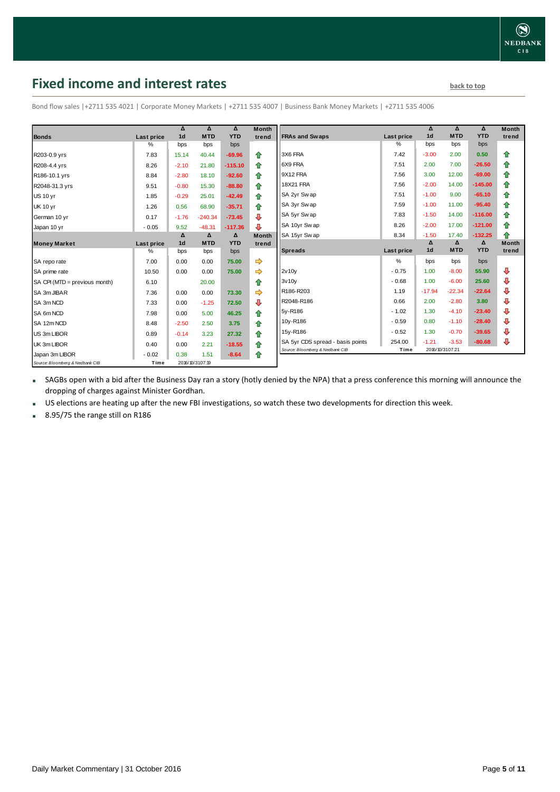### <span id="page-4-0"></span>**Fixed income and interest rates back to the line of the set of the set of the set of the set of the set of the set of the set of the set of the set of the set of the set of the set of the set of the set of the set of th**

|                                 |                   | Δ               | Δ          | Δ          | <b>Month</b>            |                                  |                   | Δ               | Δ          | Δ          | <b>Month</b> |
|---------------------------------|-------------------|-----------------|------------|------------|-------------------------|----------------------------------|-------------------|-----------------|------------|------------|--------------|
| <b>Bonds</b>                    | Last price        | 1 <sub>d</sub>  | <b>MTD</b> | <b>YTD</b> | trend                   | <b>FRAs and Swaps</b>            | Last price        | 1 <sub>d</sub>  | <b>MTD</b> | <b>YTD</b> | trend        |
|                                 | ℅                 | bps             | bps        | bps        |                         |                                  | %                 | bps             | bps        | bps        |              |
| R203-0.9 yrs                    | 7.83              | 15.14           | 40.44      | $-69.96$   | 全                       | 3X6 FRA                          | 7.42              | $-3.00$         | 2.00       | 0.50       | ⇮            |
| R208-4.4 yrs                    | 8.26              | $-2.10$         | 21.80      | $-115.10$  | 合                       | 6X9 FRA                          | 7.51              | 2.00            | 7.00       | $-26.50$   | 合            |
| R186-10.1 yrs                   | 8.84              | $-2.80$         | 18.10      | $-92.60$   | ♠                       | 9X12 FRA                         | 7.56              | 3.00            | 12.00      | $-69.00$   | 合            |
| R2048-31.3 yrs                  | 9.51              | $-0.80$         | 15.30      | $-88.80$   | ⇮                       | 18X21 FRA                        | 7.56              | $-2.00$         | 14.00      | $-145.00$  | ⇑            |
| <b>US 10 yr</b>                 | 1.85              | $-0.29$         | 25.01      | $-42.49$   | 合                       | SA 2yr Sw ap                     | 7.51              | $-1.00$         | 9.00       | $-65.10$   | 合            |
| <b>UK 10 yr</b>                 | 1.26              | 0.56            | 68.90      | $-35.71$   | ⇮                       | SA 3yr Sw ap                     | 7.59              | $-1.00$         | 11.00      | $-95.40$   | 合            |
| German 10 yr                    | 0.17              | $-1.76$         | $-240.34$  | $-73.45$   | ⊕                       | SA 5yr Sw ap                     | 7.83              | $-1.50$         | 14.00      | $-116.00$  | ⇑            |
| Japan 10 yr                     | $-0.05$           | 9.52            | $-48.31$   | $-117.36$  | $\overline{\mathbf{u}}$ | SA 10yr Swap                     | 8.26              | $-2.00$         | 17.00      | $-121.00$  | ⇮            |
|                                 |                   | Δ               | Δ          | Δ          | <b>Month</b>            | SA 15yr Swap                     | 8.34              | $-1.50$         | 17.40      | $-132.25$  | ♠            |
| <b>Money Market</b>             | <b>Last price</b> | 1 <sub>d</sub>  | <b>MTD</b> | <b>YTD</b> | trend                   |                                  |                   | Δ               | Δ          | Δ          | <b>Month</b> |
|                                 | ℅                 | bps             | bps        | bps        |                         | <b>Spreads</b>                   | <b>Last price</b> | 1 <sub>d</sub>  | <b>MTD</b> | <b>YTD</b> | trend        |
| SA repo rate                    | 7.00              | 0.00            | 0.00       | 75.00      | $\Rightarrow$           |                                  | %                 | bps             | bps        | bps        |              |
| SA prime rate                   | 10.50             | 0.00            | 0.00       | 75.00      | $\Rightarrow$           | 2v10v                            | $-0.75$           | 1.00            | $-8.00$    | 55.90      | ⇩            |
| SA CPI (MTD = previous month)   | 6.10              |                 | 20.00      |            | ⇑                       | 3v10v                            | $-0.68$           | 1.00            | $-6.00$    | 25.60      | ⇩            |
| SA 3m JIBAR                     | 7.36              | 0.00            | 0.00       | 73.30      | $\Rightarrow$           | R186-R203                        | 1.19              | $-17.94$        | $-22.34$   | $-22.64$   | ⊕            |
| SA 3m NCD                       | 7.33              | 0.00            | $-1.25$    | 72.50      | ⊕                       | R2048-R186                       | 0.66              | 2.00            | $-2.80$    | 3.80       | ⇩            |
| SA 6m NCD                       | 7.98              | 0.00            | 5.00       | 46.25      | ⇮                       | 5y-R186                          | $-1.02$           | 1.30            | $-4.10$    | $-23.40$   | ⇩            |
| SA 12m NCD                      | 8.48              | $-2.50$         | 2.50       | 3.75       | 合                       | 10y-R186                         | $-0.59$           | 0.80            | $-1.10$    | $-28.40$   | ₽            |
| US 3m LIBOR                     | 0.89              | $-0.14$         | 3.23       | 27.32      | 合                       | 15y-R186                         | $-0.52$           | 1.30            | $-0.70$    | $-39.65$   | ₽            |
| UK 3m LIBOR                     | 0.40              | 0.00            | 2.21       | $-18.55$   | €                       | SA 5yr CDS spread - basis points | 254.00            | $-1.21$         | $-3.53$    | $-80.68$   | ₽            |
| Japan 3m LIBOR                  | $-0.02$           | 0.38            | 1.51       | $-8.64$    | ⇑                       | Source: Bloomberg & Nedbank CIB  | Time              | 2016/10/3107:21 |            |            |              |
| Source: Bloomberg & Nedbank CIB | Time              | 2016/10/3107:19 |            |            |                         |                                  |                   |                 |            |            |              |

Bond flow sales |+2711 535 4021 | Corporate Money Markets | +2711 535 4007 | Business Bank Money Markets | +2711 535 4006

 SAGBs open with a bid after the Business Day ran a story (hotly denied by the NPA) that a press conference this morning will announce the dropping of charges against Minister Gordhan.

US elections are heating up after the new FBI investigations, so watch these two developments for direction this week.

■ 8.95/75 the range still on R186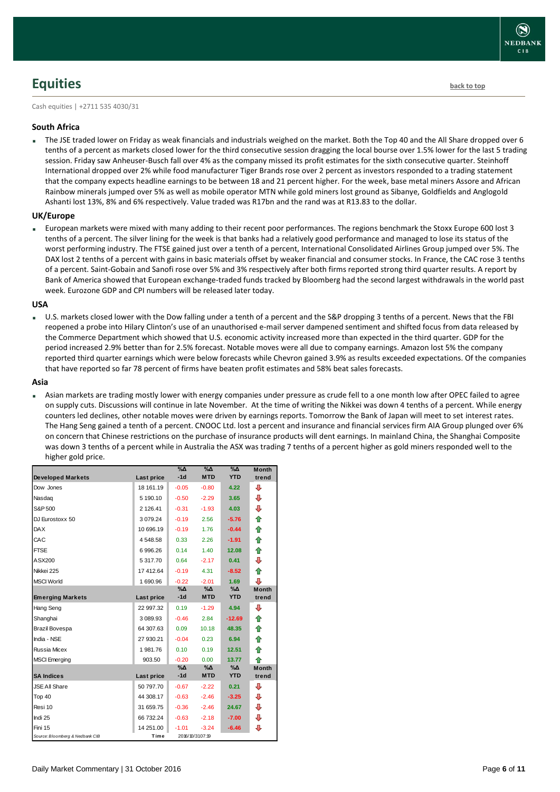# <span id="page-5-0"></span>**Equities [back to top](#page-0-0)**

Cash equities | +2711 535 4030/31

#### **South Africa**

 The JSE traded lower on Friday as weak financials and industrials weighed on the market. Both the Top 40 and the All Share dropped over 6 tenths of a percent as markets closed lower for the third consecutive session dragging the local bourse over 1.5% lower for the last 5 trading session. Friday saw Anheuser-Busch fall over 4% as the company missed its profit estimates for the sixth consecutive quarter. Steinhoff International dropped over 2% while food manufacturer Tiger Brands rose over 2 percent as investors responded to a trading statement that the company expects headline earnings to be between 18 and 21 percent higher. For the week, base metal miners Assore and African Rainbow minerals jumped over 5% as well as mobile operator MTN while gold miners lost ground as Sibanye, Goldfields and Anglogold Ashanti lost 13%, 8% and 6% respectively. Value traded was R17bn and the rand was at R13.83 to the dollar.

#### **UK/Europe**

 European markets were mixed with many adding to their recent poor performances. The regions benchmark the Stoxx Europe 600 lost 3 tenths of a percent. The silver lining for the week is that banks had a relatively good performance and managed to lose its status of the worst performing industry. The FTSE gained just over a tenth of a percent, International Consolidated Airlines Group jumped over 5%. The DAX lost 2 tenths of a percent with gains in basic materials offset by weaker financial and consumer stocks. In France, the CAC rose 3 tenths of a percent. Saint-Gobain and Sanofi rose over 5% and 3% respectively after both firms reported strong third quarter results. A report by Bank of America showed that European exchange-traded funds tracked by Bloomberg had the second largest withdrawals in the world past week. Eurozone GDP and CPI numbers will be released later today.

#### **USA**

 U.S. markets closed lower with the Dow falling under a tenth of a percent and the S&P dropping 3 tenths of a percent. News that the FBI reopened a probe into Hilary Clinton's use of an unauthorised e-mail server dampened sentiment and shifted focus from data released by the Commerce Department which showed that U.S. economic activity increased more than expected in the third quarter. GDP for the period increased 2.9% better than for 2.5% forecast. Notable moves were all due to company earnings. Amazon lost 5% the company reported third quarter earnings which were below forecasts while Chevron gained 3.9% as results exceeded expectations. Of the companies that have reported so far 78 percent of firms have beaten profit estimates and 58% beat sales forecasts.

#### **Asia**

 Asian markets are trading mostly lower with energy companies under pressure as crude fell to a one month low after OPEC failed to agree on supply cuts. Discussions will continue in late November. At the time of writing the Nikkei was down 4 tenths of a percent. While energy counters led declines, other notable moves were driven by earnings reports. Tomorrow the Bank of Japan will meet to set interest rates. The Hang Seng gained a tenth of a percent. CNOOC Ltd. lost a percent and insurance and financial services firm AIA Group plunged over 6% on concern that Chinese restrictions on the purchase of insurance products will dent earnings. In mainland China, the Shanghai Composite was down 3 tenths of a percent while in Australia the ASX was trading 7 tenths of a percent higher as gold miners responded well to the higher gold price.

|                                 |                   | $\%$ $\Delta$ | $\%$ $\Delta$   | $\%$ $\Delta$ | <b>Month</b> |
|---------------------------------|-------------------|---------------|-----------------|---------------|--------------|
| <b>Developed Markets</b>        | Last price        | $-1d$         | <b>MTD</b>      | <b>YTD</b>    | trend        |
| Dow Jones                       | 18 161.19         | $-0.05$       | $-0.80$         | 4.22          | ⊕            |
| Nasdag                          | 5 190.10          | $-0.50$       | $-2.29$         | 3.65          | ⊕            |
| S&P 500                         | 2 126.41          | $-0.31$       | $-1.93$         | 4.03          | ⊕            |
| DJ Eurostoxx 50                 | 3 0 79.24         | $-0.19$       | 2.56            | $-5.76$       | 合            |
| <b>DAX</b>                      | 10 696.19         | $-0.19$       | 1.76            | $-0.44$       | ⇑            |
| CAC                             | 4548.58           | 0.33          | 2.26            | $-1.91$       | 合            |
| <b>FTSE</b>                     | 6996.26           | 0.14          | 1.40            | 12.08         | ⇑            |
| ASX200                          | 5 317.70          | 0.64          | $-2.17$         | 0.41          | ⊕            |
| Nikkei 225                      | 17 412.64         | $-0.19$       | 4.31            | $-8.52$       | ⇑            |
| <b>MSCI World</b>               | 1 690.96          | $-0.22$       | $-2.01$         | 1.69          | ⊕            |
|                                 |                   | %Δ            | %Δ              | %Δ            | <b>Month</b> |
| <b>Emerging Markets</b>         | Last price        | $-1d$         | <b>MTD</b>      | <b>YTD</b>    | trend        |
| Hang Seng                       | 22 997.32         | 0.19          | $-1.29$         | 4.94          | ⊕            |
| Shanghai                        | 3 089.93          | $-0.46$       | 2.84            | $-12.69$      | ⇑            |
| Brazil Bovespa                  | 64 307.63         | 0.09          | 10.18           | 48.35         | ⇑            |
| India - NSE                     | 27 930.21         | $-0.04$       | 0.23            | 6.94          | ⇮            |
| <b>Russia Micex</b>             | 1981.76           | 0.10          | 0.19            | 12.51         | 合            |
| <b>MSCI</b> Emerging            | 903.50            | $-0.20$       | 0.00            | 13.77         | ♠            |
|                                 |                   | %Δ            | %Δ              | %Δ            | <b>Month</b> |
| <b>SA Indices</b>               | <b>Last price</b> | $-1d$         | <b>MTD</b>      | <b>YTD</b>    | trend        |
| <b>JSE All Share</b>            | 50 797.70         | $-0.67$       | $-2.22$         | 0.21          | ⊕            |
| Top 40                          | 44 308.17         | $-0.63$       | $-2.46$         | $-3.25$       | ⊕            |
| Resi 10                         | 31 659.75         | $-0.36$       | $-2.46$         | 24.67         | ⊕            |
| Indi 25                         | 66 732.24         | $-0.63$       | $-2.18$         | $-7.00$       | ⊕            |
| Fini 15                         | 14 251.00         | $-1.01$       | $-3.24$         | $-6.46$       | ⊕            |
| Source: Bloomberg & Nedbank CIB | Time              |               | 2016/10/3107:19 |               |              |

**NEDBANK**  $CIB$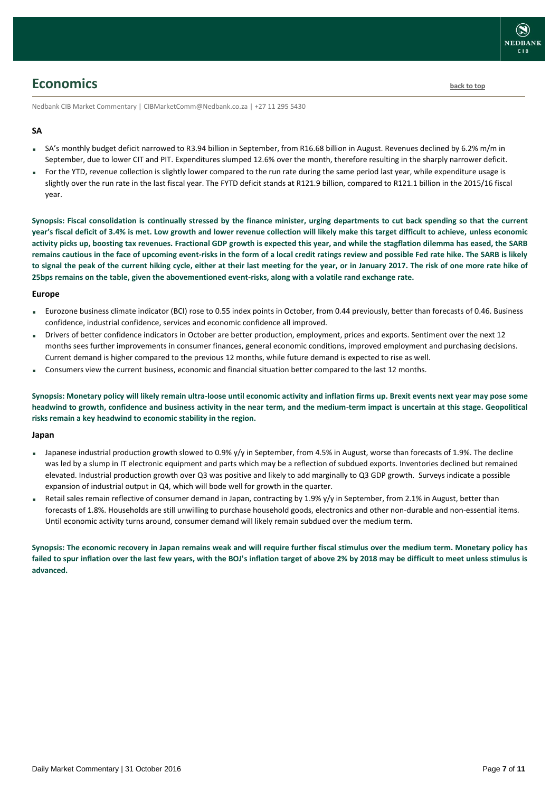### <span id="page-6-0"></span>**Economics [back to top](#page-0-0)**

Nedbank CIB Market Commentary | CIBMarketComm@Nedbank.co.za | +27 11 295 5430

#### **SA**

- SA's monthly budget deficit narrowed to R3.94 billion in September, from R16.68 billion in August. Revenues declined by 6.2% m/m in September, due to lower CIT and PIT. Expenditures slumped 12.6% over the month, therefore resulting in the sharply narrower deficit.
- For the YTD, revenue collection is slightly lower compared to the run rate during the same period last year, while expenditure usage is slightly over the run rate in the last fiscal year. The FYTD deficit stands at R121.9 billion, compared to R121.1 billion in the 2015/16 fiscal year.

**Synopsis: Fiscal consolidation is continually stressed by the finance minister, urging departments to cut back spending so that the current year's fiscal deficit of 3.4% is met. Low growth and lower revenue collection will likely make this target difficult to achieve, unless economic activity picks up, boosting tax revenues. Fractional GDP growth is expected this year, and while the stagflation dilemma has eased, the SARB remains cautious in the face of upcoming event-risks in the form of a local credit ratings review and possible Fed rate hike. The SARB is likely to signal the peak of the current hiking cycle, either at their last meeting for the year, or in January 2017. The risk of one more rate hike of 25bps remains on the table, given the abovementioned event-risks, along with a volatile rand exchange rate.**

#### **Europe**

- Eurozone business climate indicator (BCI) rose to 0.55 index points in October, from 0.44 previously, better than forecasts of 0.46. Business confidence, industrial confidence, services and economic confidence all improved.
- Drivers of better confidence indicators in October are better production, employment, prices and exports. Sentiment over the next 12 months sees further improvements in consumer finances, general economic conditions, improved employment and purchasing decisions. Current demand is higher compared to the previous 12 months, while future demand is expected to rise as well.
- Consumers view the current business, economic and financial situation better compared to the last 12 months.

**Synopsis: Monetary policy will likely remain ultra-loose until economic activity and inflation firms up. Brexit events next year may pose some headwind to growth, confidence and business activity in the near term, and the medium-term impact is uncertain at this stage. Geopolitical risks remain a key headwind to economic stability in the region.**

#### **Japan**

- Japanese industrial production growth slowed to 0.9% y/y in September, from 4.5% in August, worse than forecasts of 1.9%. The decline was led by a slump in IT electronic equipment and parts which may be a reflection of subdued exports. Inventories declined but remained elevated. Industrial production growth over Q3 was positive and likely to add marginally to Q3 GDP growth. Surveys indicate a possible expansion of industrial output in Q4, which will bode well for growth in the quarter.
- Retail sales remain reflective of consumer demand in Japan, contracting by 1.9% y/y in September, from 2.1% in August, better than forecasts of 1.8%. Households are still unwilling to purchase household goods, electronics and other non-durable and non-essential items. Until economic activity turns around, consumer demand will likely remain subdued over the medium term.

**Synopsis: The economic recovery in Japan remains weak and will require further fiscal stimulus over the medium term. Monetary policy has failed to spur inflation over the last few years, with the BOJ's inflation target of above 2% by 2018 may be difficult to meet unless stimulus is advanced.**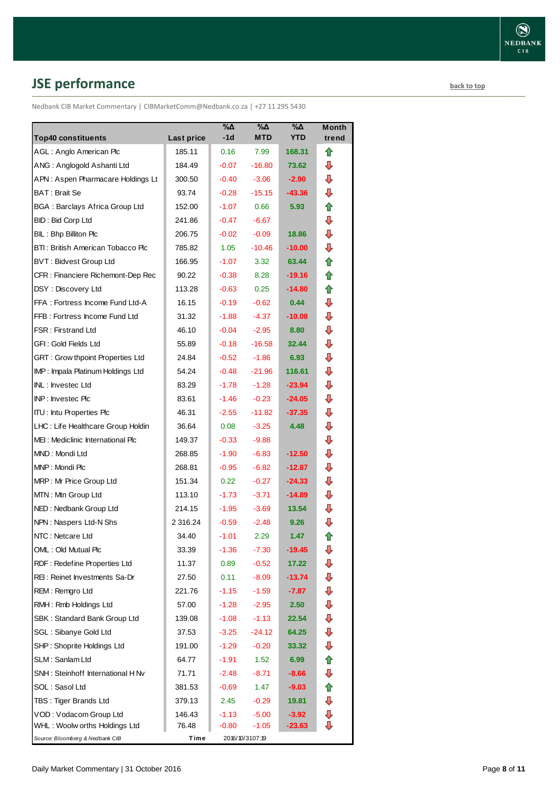# <span id="page-7-0"></span>**JSE performance [back to top](#page-0-0)**

Nedbank CIB Market Commentary | CIBMarketComm@Nedbank.co.za | +27 11 295 5430

| <b>Top40 constituents</b>             | <b>Last price</b> | %Δ<br>$-1d$ | %Δ<br><b>MTD</b> | %Δ<br><b>YTD</b>  | <b>Month</b><br>trend |
|---------------------------------------|-------------------|-------------|------------------|-------------------|-----------------------|
| AGL: Anglo American Plc               | 185.11            | 0.16        | 7.99             | 168.31            | ⇑                     |
| ANG: Anglogold Ashanti Ltd            | 184.49            | $-0.07$     | $-16.80$         | 73.62             | ⊕                     |
| APN: Aspen Pharmacare Holdings Lt     | 300.50            | $-0.40$     | $-3.06$          | $-2.90$           | ⇩                     |
| BAT: Brait Se                         | 93.74             | $-0.28$     | $-15.15$         | $-43.36$          | ⊕                     |
| <b>BGA: Barclays Africa Group Ltd</b> | 152.00            | $-1.07$     | 0.66             | 5.93              | ⇑                     |
| <b>BID: Bid Corp Ltd</b>              | 241.86            | $-0.47$     | $-6.67$          |                   | ⇩                     |
| BIL: Bhp Billiton Plc                 | 206.75            | $-0.02$     | $-0.09$          | 18.86             | ⇩                     |
| BTI: British American Tobacco Plc     | 785.82            | 1.05        | $-10.46$         | $-10.00$          | ⇩                     |
| <b>BVT: Bidvest Group Ltd</b>         | 166.95            | $-1.07$     | 3.32             | 63.44             | ⇑                     |
| CFR : Financiere Richemont-Dep Rec    | 90.22             | $-0.38$     | 8.28             | $-19.16$          | ✿                     |
| DSY: Discovery Ltd                    | 113.28            | $-0.63$     | 0.25             | $-14.80$          | ⇑                     |
| FFA: Fortress Income Fund Ltd-A       | 16.15             | $-0.19$     | $-0.62$          | 0.44              | ⇩                     |
| FFB: Fortress Income Fund Ltd         | 31.32             | $-1.88$     | $-4.37$          | $-10.08$          | ⇩                     |
| <b>FSR: Firstrand Ltd</b>             | 46.10             | $-0.04$     | $-2.95$          | 8.80              | ⇩                     |
| GFI: Gold Fields Ltd                  | 55.89             | $-0.18$     | $-16.58$         | 32.44             | ⇩                     |
| GRT : Grow thpoint Properties Ltd     | 24.84             | $-0.52$     | $-1.86$          | 6.93              | ⇩                     |
| IMP: Impala Platinum Holdings Ltd     | 54.24             | $-0.48$     | $-21.96$         | 116.61            | ⊕                     |
| INL: Investec Ltd                     | 83.29             | $-1.78$     | $-1.28$          | $-23.94$          | ⊕                     |
| INP: Investec Plc                     | 83.61             | $-1.46$     | $-0.23$          | $-24.05$          | ⇩                     |
| <b>ITU: Intu Properties Plc</b>       | 46.31             | $-2.55$     | $-11.82$         | $-37.35$          | ⇩                     |
| LHC: Life Healthcare Group Holdin     | 36.64             | 0.08        | $-3.25$          | 4.48              | ⇩                     |
| MEI: Mediclinic International Plc     | 149.37            | $-0.33$     | $-9.88$          |                   | ⇩                     |
| MND: Mondi Ltd                        | 268.85            | $-1.90$     | $-6.83$          | $-12.50$          | ⇩                     |
| MNP: Mondi Plc                        | 268.81            | $-0.95$     | $-6.82$          | $-12.87$          | ⇩                     |
| MRP: Mr Price Group Ltd               | 151.34            | 0.22        | $-0.27$          | $-24.33$          | ⇩                     |
| MTN: Mtn Group Ltd                    | 113.10            | $-1.73$     | $-3.71$          | $-14.89$          | ⇩                     |
| NED: Nedbank Group Ltd                | 214.15            | $-1.95$     | $-3.69$          | 13.54             | ⇩                     |
| NPN: Naspers Ltd-N Shs                | 2 3 1 6 . 2 4     | $-0.59$     | $-2.48$          | 9.26              | ⇩                     |
| NTC: Netcare Ltd                      | 34.40             | $-1.01$     | 2.29             | 1.47              | ⇧                     |
| OML: Old Mutual Plc                   | 33.39             | $-1.36$     | $-7.30$          | $-19.45$          | ⇩                     |
| RDF: Redefine Properties Ltd          | 11.37             | 0.89        | $-0.52$          | 17.22             | ⇩                     |
| REI: Reinet Investments Sa-Dr         | 27.50             | 0.11        | $-8.09$          | $-13.74$          | ⇩                     |
| REM: Remgro Ltd                       | 221.76            | $-1.15$     | $-1.59$          | -7.87             | ⇩                     |
| RMH: Rmb Holdings Ltd                 | 57.00             | -1.28       | $-2.95$          | 2.50 <sub>1</sub> | ⊕                     |
| SBK: Standard Bank Group Ltd          | 139.08            | $-1.08$     | $-1.13$          | 22.54             | ⇩                     |
| SGL : Sibanye Gold Ltd                | 37.53             | $-3.25$     | $-24.12$         | 64.25             | ⊕                     |
| SHP: Shoprite Holdings Ltd            | 191.00            | $-1.29$     | $-0.20$          | 33.32             | ⊕                     |
| SLM: Sanlam Ltd                       | 64.77             | $-1.91$     | 1.52             | 6.99              | ⇑                     |
| SNH: Steinhoff International H Nv     | 71.71             | $-2.48$     | $-8.71$          | -8.66             | ⊕                     |
| SOL: Sasol Ltd                        | 381.53            | $-0.69$     | 1.47             | $-9.03$           | 合                     |
| TBS: Tiger Brands Ltd                 | 379.13            | 2.45        | $-0.29$          | 19.81             | ⇩                     |
| VOD: Vodacom Group Ltd                | 146.43            | $-1.13$     | $-5.00$          | $-3.92$           | ⊕                     |
| WHL: Woolw orths Holdings Ltd         | 76.48             | $-0.80$     | -1.05            | $-23.63$          | ⊕                     |
| Source: Bloomberg & Nedbank CIB       | Time              |             | 2016/10/3107:19  |                   |                       |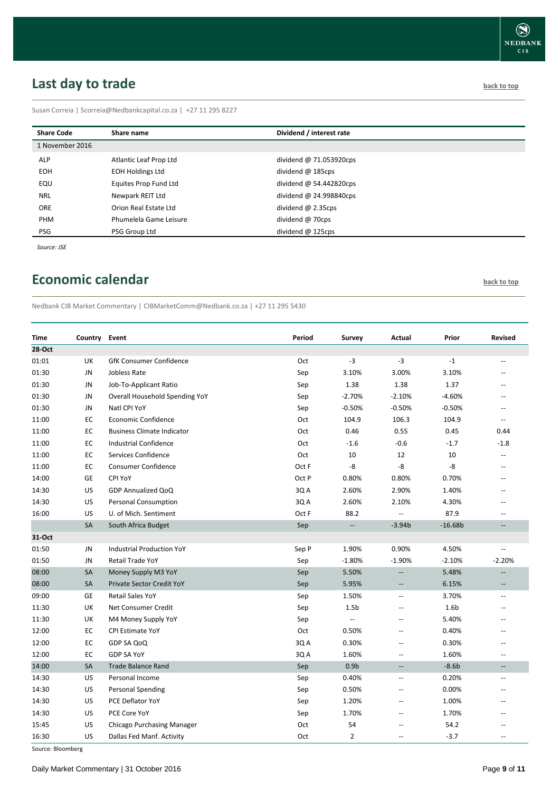# <span id="page-8-0"></span>**Last day to trade back to the contract of the contract of the contract of the contract of the contract of the contract of the contract of the contract of the contract of the contract of the contract of the contract of t**

Susan Correia | [Scorreia@Nedbankcapital.co.za](mailto:Scorreia@Nedbankcapital.co.za) | +27 11 295 8227

| <b>Share Code</b> | Share name              | Dividend / interest rate  |
|-------------------|-------------------------|---------------------------|
| 1 November 2016   |                         |                           |
| <b>ALP</b>        | Atlantic Leaf Prop Ltd  | dividend @ 71.053920cps   |
| EOH.              | <b>EOH Holdings Ltd</b> | dividend $@$ 185cps       |
| EQU               | Equites Prop Fund Ltd   | dividend $@$ 54.442820cps |
| <b>NRL</b>        | Newpark REIT Ltd        | dividend @ 24.998840cps   |
| <b>ORE</b>        | Orion Real Estate Ltd   | dividend $@$ 2.35cps      |
| PHM               | Phumelela Game Leisure  | dividend @ 70cps          |
| PSG               | PSG Group Ltd           | dividend $@$ 125cps       |

*Source: JSE*

## <span id="page-8-1"></span>**Economic calendar [back to top](#page-0-0)**

Nedbank CIB Market Commentary | CIBMarketComm@Nedbank.co.za | +27 11 295 5430

| <b>Time</b> | Country Event |                                   | Period | <b>Survey</b>            | Actual                   | Prior            | <b>Revised</b>           |
|-------------|---------------|-----------------------------------|--------|--------------------------|--------------------------|------------------|--------------------------|
| 28-Oct      |               |                                   |        |                          |                          |                  |                          |
| 01:01       | UK            | <b>GfK Consumer Confidence</b>    | Oct    | $-3$                     | $-3$                     | $-1$             | --                       |
| 01:30       | <b>JN</b>     | Jobless Rate                      | Sep    | 3.10%                    | 3.00%                    | 3.10%            | $\sim$                   |
| 01:30       | JN            | Job-To-Applicant Ratio            | Sep    | 1.38                     | 1.38                     | 1.37             | $-$                      |
| 01:30       | JN            | Overall Household Spending YoY    | Sep    | $-2.70%$                 | $-2.10%$                 | $-4.60%$         | --                       |
| 01:30       | JN            | Natl CPI YoY                      | Sep    | $-0.50%$                 | $-0.50%$                 | $-0.50%$         | $\overline{a}$           |
| 11:00       | EC            | <b>Economic Confidence</b>        | Oct    | 104.9                    | 106.3                    | 104.9            | $-$                      |
| 11:00       | EC            | <b>Business Climate Indicator</b> | Oct    | 0.46                     | 0.55                     | 0.45             | 0.44                     |
| 11:00       | EC            | <b>Industrial Confidence</b>      | Oct    | $-1.6$                   | $-0.6$                   | $-1.7$           | $-1.8$                   |
| 11:00       | EC            | Services Confidence               | Oct    | 10                       | 12                       | 10               |                          |
| 11:00       | EC            | Consumer Confidence               | Oct F  | -8                       | -8                       | -8               | --                       |
| 14:00       | <b>GE</b>     | CPI YoY                           | Oct P  | 0.80%                    | 0.80%                    | 0.70%            | $-$                      |
| 14:30       | US            | GDP Annualized QoQ                | 3Q A   | 2.60%                    | 2.90%                    | 1.40%            | $-$                      |
| 14:30       | US            | <b>Personal Consumption</b>       | 3Q A   | 2.60%                    | 2.10%                    | 4.30%            | --                       |
| 16:00       | US            | U. of Mich. Sentiment             | Oct F  | 88.2                     | $\overline{\phantom{a}}$ | 87.9             | $\overline{a}$           |
|             | <b>SA</b>     | South Africa Budget               | Sep    | $\overline{\phantom{a}}$ | $-3.94b$                 | $-16.68b$        | $\overline{\phantom{a}}$ |
| 31-Oct      |               |                                   |        |                          |                          |                  |                          |
| 01:50       | JN            | <b>Industrial Production YoY</b>  | Sep P  | 1.90%                    | 0.90%                    | 4.50%            |                          |
| 01:50       | <b>JN</b>     | <b>Retail Trade YoY</b>           | Sep    | $-1.80%$                 | $-1.90%$                 | $-2.10%$         | $-2.20%$                 |
| 08:00       | SA            | Money Supply M3 YoY               | Sep    | 5.50%                    | $\overline{\phantom{a}}$ | 5.48%            | $\overline{\phantom{a}}$ |
| 08:00       | <b>SA</b>     | Private Sector Credit YoY         | Sep    | 5.95%                    | $\overline{\phantom{a}}$ | 6.15%            | $\overline{\phantom{a}}$ |
| 09:00       | GE            | <b>Retail Sales YoY</b>           | Sep    | 1.50%                    | $\mathbf{u}$             | 3.70%            | $\overline{\phantom{a}}$ |
| 11:30       | UK            | Net Consumer Credit               | Sep    | 1.5 <sub>b</sub>         | $\overline{a}$           | 1.6 <sub>b</sub> | $-$                      |
| 11:30       | UK            | M4 Money Supply YoY               | Sep    | $\overline{\phantom{a}}$ | $\overline{\phantom{a}}$ | 5.40%            |                          |
| 12:00       | EC            | <b>CPI Estimate YoY</b>           | Oct    | 0.50%                    | $\overline{\phantom{a}}$ | 0.40%            | $-$                      |
| 12:00       | EC            | GDP SA QoQ                        | 3Q A   | 0.30%                    | $\overline{a}$           | 0.30%            |                          |
| 12:00       | EC            | <b>GDP SA YoY</b>                 | 3Q A   | 1.60%                    | $\overline{\phantom{a}}$ | 1.60%            | $\overline{a}$           |
| 14:00       | <b>SA</b>     | <b>Trade Balance Rand</b>         | Sep    | 0.9 <sub>b</sub>         | $\overline{\phantom{a}}$ | $-8.6b$          |                          |
| 14:30       | US            | Personal Income                   | Sep    | 0.40%                    | $\sim$                   | 0.20%            | $\overline{a}$           |
| 14:30       | US            | <b>Personal Spending</b>          | Sep    | 0.50%                    | $\overline{\phantom{a}}$ | 0.00%            |                          |
| 14:30       | US            | PCE Deflator YoY                  | Sep    | 1.20%                    | $\overline{a}$           | 1.00%            | $-$                      |
| 14:30       | US            | PCE Core YoY                      | Sep    | 1.70%                    | $\overline{a}$           | 1.70%            |                          |
| 15:45       | US            | Chicago Purchasing Manager        | Oct    | 54                       | $\overline{a}$           | 54.2             |                          |
| 16:30       | US            | Dallas Fed Manf. Activity         | Oct    | $\overline{2}$           | $\overline{\phantom{a}}$ | $-3.7$           | $\overline{a}$           |

Source: Bloomberg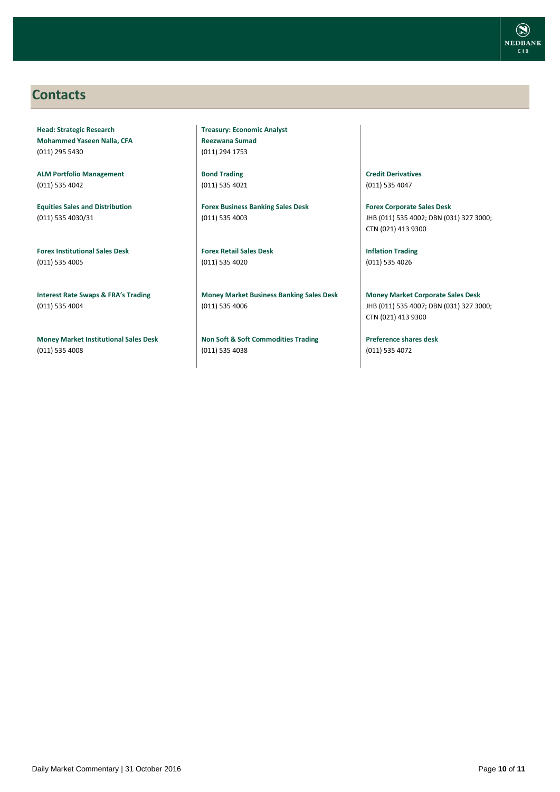

### <span id="page-9-0"></span>**Contacts**

**Head: Strategic Research Mohammed Yaseen Nalla, CFA** (011) 295 5430

**ALM Portfolio Management** (011) 535 4042

**Equities Sales and Distribution** (011) 535 4030/31

**Forex Institutional Sales Desk** (011) 535 4005

**Interest Rate Swaps & FRA's Trading** (011) 535 4004

**Money Market Institutional Sales Desk** (011) 535 4008

**Treasury: Economic Analyst Reezwana Sumad** (011) 294 1753

**Bond Trading** (011) 535 4021

**Forex Business Banking Sales Desk** (011) 535 4003

**Forex Retail Sales Desk** (011) 535 4020

**Money Market Business Banking Sales Desk** (011) 535 4006

**Non Soft & Soft Commodities Trading** (011) 535 4038

**Credit Derivatives**  (011) 535 4047

**Forex Corporate Sales Desk** JHB (011) 535 4002; DBN (031) 327 3000; CTN (021) 413 9300

**Inflation Trading** (011) 535 4026

**Money Market Corporate Sales Desk** JHB (011) 535 4007; DBN (031) 327 3000; CTN (021) 413 9300

**Preference shares desk** (011) 535 4072